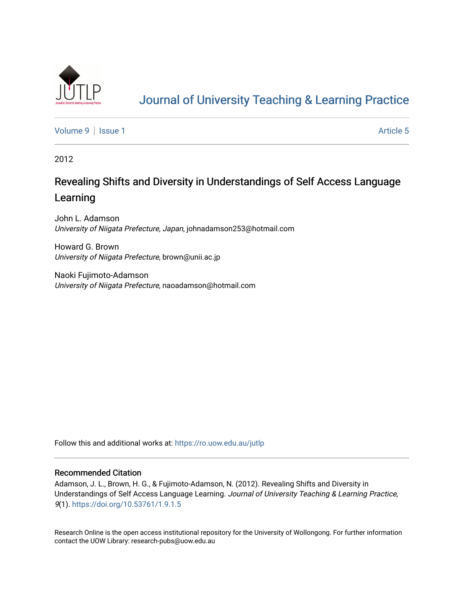

# [Journal of University Teaching & Learning Practice](https://ro.uow.edu.au/jutlp)

[Volume 9](https://ro.uow.edu.au/jutlp/vol9) | [Issue 1](https://ro.uow.edu.au/jutlp/vol9/iss1) Article 5

2012

# Revealing Shifts and Diversity in Understandings of Self Access Language Learning

John L. Adamson University of Niigata Prefecture, Japan, johnadamson253@hotmail.com

Howard G. Brown University of Niigata Prefecture, brown@unii.ac.jp

Naoki Fujimoto-Adamson University of Niigata Prefecture, naoadamson@hotmail.com

Follow this and additional works at: [https://ro.uow.edu.au/jutlp](https://ro.uow.edu.au/jutlp?utm_source=ro.uow.edu.au%2Fjutlp%2Fvol9%2Fiss1%2F5&utm_medium=PDF&utm_campaign=PDFCoverPages) 

## Recommended Citation

Adamson, J. L., Brown, H. G., & Fujimoto-Adamson, N. (2012). Revealing Shifts and Diversity in Understandings of Self Access Language Learning. Journal of University Teaching & Learning Practice, 9(1).<https://doi.org/10.53761/1.9.1.5>

Research Online is the open access institutional repository for the University of Wollongong. For further information contact the UOW Library: research-pubs@uow.edu.au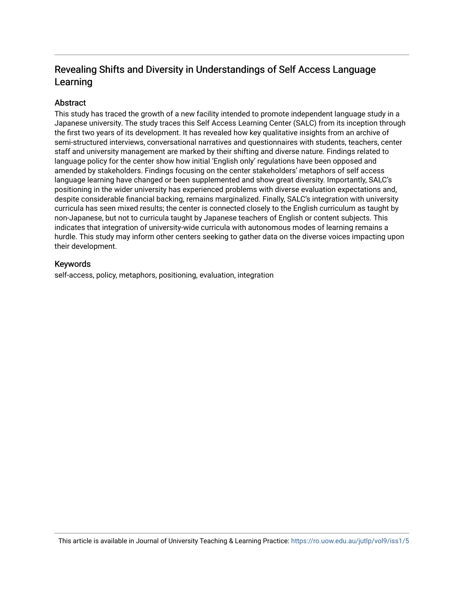## Revealing Shifts and Diversity in Understandings of Self Access Language Learning

## **Abstract**

This study has traced the growth of a new facility intended to promote independent language study in a Japanese university. The study traces this Self Access Learning Center (SALC) from its inception through the first two years of its development. It has revealed how key qualitative insights from an archive of semi-structured interviews, conversational narratives and questionnaires with students, teachers, center staff and university management are marked by their shifting and diverse nature. Findings related to language policy for the center show how initial 'English only' regulations have been opposed and amended by stakeholders. Findings focusing on the center stakeholders' metaphors of self access language learning have changed or been supplemented and show great diversity. Importantly, SALC's positioning in the wider university has experienced problems with diverse evaluation expectations and, despite considerable financial backing, remains marginalized. Finally, SALC's integration with university curricula has seen mixed results; the center is connected closely to the English curriculum as taught by non-Japanese, but not to curricula taught by Japanese teachers of English or content subjects. This indicates that integration of university-wide curricula with autonomous modes of learning remains a hurdle. This study may inform other centers seeking to gather data on the diverse voices impacting upon their development.

## Keywords

self-access, policy, metaphors, positioning, evaluation, integration

This article is available in Journal of University Teaching & Learning Practice:<https://ro.uow.edu.au/jutlp/vol9/iss1/5>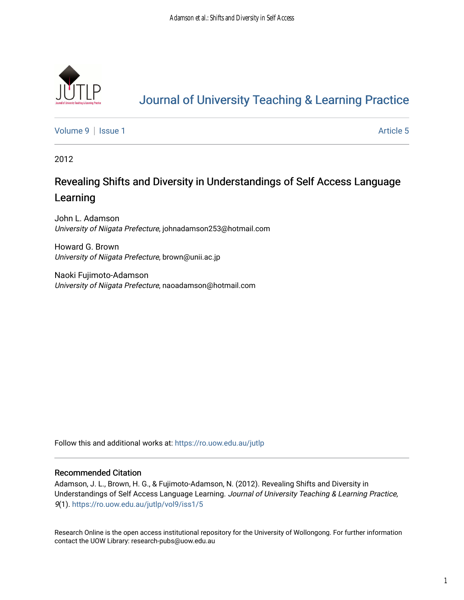

# [Journal of University Teaching & Learning Practice](https://ro.uow.edu.au/jutlp)

[Volume 9](https://ro.uow.edu.au/jutlp/vol9) | [Issue 1](https://ro.uow.edu.au/jutlp/vol9/iss1) Article 5

2012

# Revealing Shifts and Diversity in Understandings of Self Access Language Learning

John L. Adamson University of Niigata Prefecture, johnadamson253@hotmail.com

Howard G. Brown University of Niigata Prefecture, brown@unii.ac.jp

Naoki Fujimoto-Adamson University of Niigata Prefecture, naoadamson@hotmail.com

Follow this and additional works at: [https://ro.uow.edu.au/jutlp](https://ro.uow.edu.au/jutlp?utm_source=ro.uow.edu.au%2Fjutlp%2Fvol9%2Fiss1%2F5&utm_medium=PDF&utm_campaign=PDFCoverPages) 

## Recommended Citation

Adamson, J. L., Brown, H. G., & Fujimoto-Adamson, N. (2012). Revealing Shifts and Diversity in Understandings of Self Access Language Learning. Journal of University Teaching & Learning Practice, 9(1). [https://ro.uow.edu.au/jutlp/vol9/iss1/5](https://ro.uow.edu.au/jutlp/vol9/iss1/5?utm_source=ro.uow.edu.au%2Fjutlp%2Fvol9%2Fiss1%2F5&utm_medium=PDF&utm_campaign=PDFCoverPages)

Research Online is the open access institutional repository for the University of Wollongong. For further information contact the UOW Library: research-pubs@uow.edu.au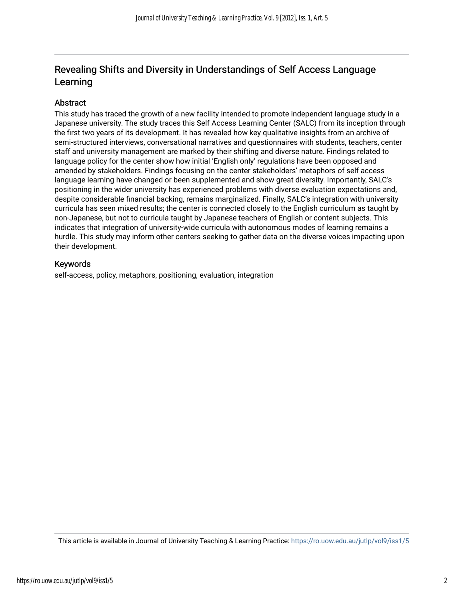## Revealing Shifts and Diversity in Understandings of Self Access Language Learning

## Abstract

This study has traced the growth of a new facility intended to promote independent language study in a Japanese university. The study traces this Self Access Learning Center (SALC) from its inception through the first two years of its development. It has revealed how key qualitative insights from an archive of semi-structured interviews, conversational narratives and questionnaires with students, teachers, center staff and university management are marked by their shifting and diverse nature. Findings related to language policy for the center show how initial 'English only' regulations have been opposed and amended by stakeholders. Findings focusing on the center stakeholders' metaphors of self access language learning have changed or been supplemented and show great diversity. Importantly, SALC's positioning in the wider university has experienced problems with diverse evaluation expectations and, despite considerable financial backing, remains marginalized. Finally, SALC's integration with university curricula has seen mixed results; the center is connected closely to the English curriculum as taught by non-Japanese, but not to curricula taught by Japanese teachers of English or content subjects. This indicates that integration of university-wide curricula with autonomous modes of learning remains a hurdle. This study may inform other centers seeking to gather data on the diverse voices impacting upon their development.

## Keywords

self-access, policy, metaphors, positioning, evaluation, integration

This article is available in Journal of University Teaching & Learning Practice:<https://ro.uow.edu.au/jutlp/vol9/iss1/5>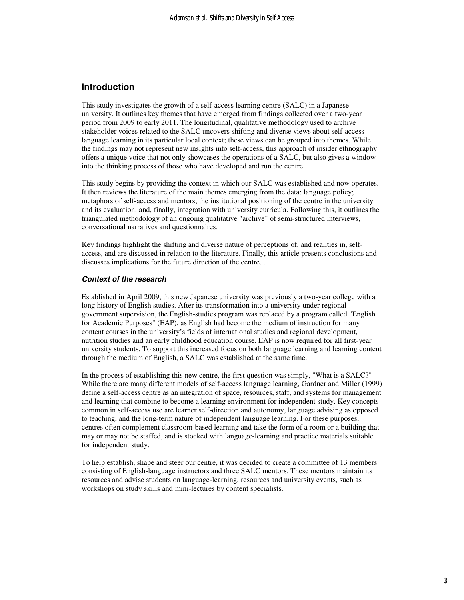## **Introduction**

This study investigates the growth of a self-access learning centre (SALC) in a Japanese university. It outlines key themes that have emerged from findings collected over a two-year period from 2009 to early 2011. The longitudinal, qualitative methodology used to archive stakeholder voices related to the SALC uncovers shifting and diverse views about self-access language learning in its particular local context; these views can be grouped into themes. While the findings may not represent new insights into self-access, this approach of insider ethnography offers a unique voice that not only showcases the operations of a SALC, but also gives a window into the thinking process of those who have developed and run the centre.

This study begins by providing the context in which our SALC was established and now operates. It then reviews the literature of the main themes emerging from the data: language policy; metaphors of self-access and mentors; the institutional positioning of the centre in the university and its evaluation; and, finally, integration with university curricula. Following this, it outlines the triangulated methodology of an ongoing qualitative "archive" of semi-structured interviews, conversational narratives and questionnaires.

Key findings highlight the shifting and diverse nature of perceptions of, and realities in, selfaccess, and are discussed in relation to the literature. Finally, this article presents conclusions and discusses implications for the future direction of the centre. .

#### **Context of the research**

Established in April 2009, this new Japanese university was previously a two-year college with a long history of English studies. After its transformation into a university under regionalgovernment supervision, the English-studies program was replaced by a program called "English for Academic Purposes" (EAP), as English had become the medium of instruction for many content courses in the university's fields of international studies and regional development, nutrition studies and an early childhood education course. EAP is now required for all first-year university students. To support this increased focus on both language learning and learning content through the medium of English, a SALC was established at the same time.

In the process of establishing this new centre, the first question was simply, "What is a SALC?" While there are many different models of self-access language learning, Gardner and Miller (1999) define a self-access centre as an integration of space, resources, staff, and systems for management and learning that combine to become a learning environment for independent study. Key concepts common in self-access use are learner self-direction and autonomy, language advising as opposed to teaching, and the long-term nature of independent language learning. For these purposes, centres often complement classroom-based learning and take the form of a room or a building that may or may not be staffed, and is stocked with language-learning and practice materials suitable for independent study.

To help establish, shape and steer our centre, it was decided to create a committee of 13 members consisting of English-language instructors and three SALC mentors. These mentors maintain its resources and advise students on language-learning, resources and university events, such as workshops on study skills and mini-lectures by content specialists.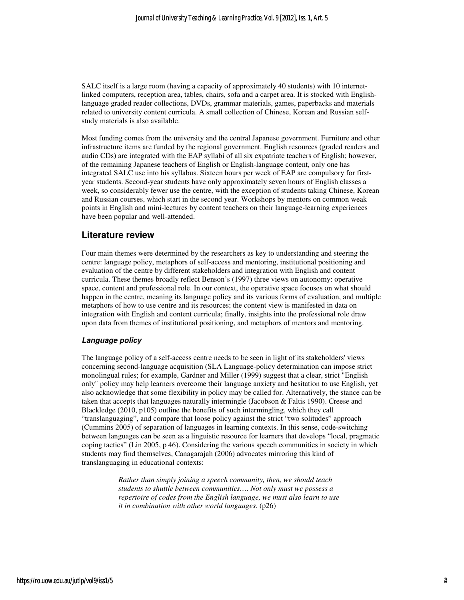SALC itself is a large room (having a capacity of approximately 40 students) with 10 internetlinked computers, reception area, tables, chairs, sofa and a carpet area. It is stocked with Englishlanguage graded reader collections, DVDs, grammar materials, games, paperbacks and materials related to university content curricula. A small collection of Chinese, Korean and Russian selfstudy materials is also available.

Most funding comes from the university and the central Japanese government. Furniture and other infrastructure items are funded by the regional government. English resources (graded readers and audio CDs) are integrated with the EAP syllabi of all six expatriate teachers of English; however, of the remaining Japanese teachers of English or English-language content, only one has integrated SALC use into his syllabus. Sixteen hours per week of EAP are compulsory for firstyear students. Second-year students have only approximately seven hours of English classes a week, so considerably fewer use the centre, with the exception of students taking Chinese, Korean and Russian courses, which start in the second year. Workshops by mentors on common weak points in English and mini-lectures by content teachers on their language-learning experiences have been popular and well-attended.

## **Literature review**

Four main themes were determined by the researchers as key to understanding and steering the centre: language policy, metaphors of self-access and mentoring, institutional positioning and evaluation of the centre by different stakeholders and integration with English and content curricula. These themes broadly reflect Benson's (1997) three views on autonomy: operative space, content and professional role. In our context, the operative space focuses on what should happen in the centre, meaning its language policy and its various forms of evaluation, and multiple metaphors of how to use centre and its resources; the content view is manifested in data on integration with English and content curricula; finally, insights into the professional role draw upon data from themes of institutional positioning, and metaphors of mentors and mentoring.

#### **Language policy**

The language policy of a self-access centre needs to be seen in light of its stakeholders' views concerning second-language acquisition (SLA Language-policy determination can impose strict monolingual rules; for example, Gardner and Miller (1999) suggest that a clear, strict "English only" policy may help learners overcome their language anxiety and hesitation to use English, yet also acknowledge that some flexibility in policy may be called for. Alternatively, the stance can be taken that accepts that languages naturally intermingle (Jacobson & Faltis 1990). Creese and Blackledge (2010, p105) outline the benefits of such intermingling, which they call "translanguaging", and compare that loose policy against the strict "two solitudes" approach (Cummins 2005) of separation of languages in learning contexts. In this sense, code-switching between languages can be seen as a linguistic resource for learners that develops "local, pragmatic coping tactics" (Lin 2005, p 46). Considering the various speech communities in society in which students may find themselves, Canagarajah (2006) advocates mirroring this kind of translanguaging in educational contexts:

> *Rather than simply joining a speech community, then, we should teach students to shuttle between communities…. Not only must we possess a repertoire of codes from the English language, we must also learn to use it in combination with other world languages.* (p26)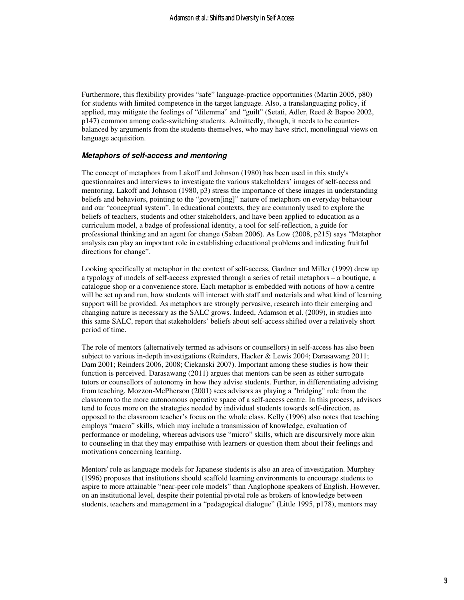Furthermore, this flexibility provides "safe" language-practice opportunities (Martin 2005, p80) for students with limited competence in the target language. Also, a translanguaging policy, if applied, may mitigate the feelings of "dilemma" and "guilt" (Setati, Adler, Reed & Bapoo 2002, p147) common among code-switching students. Admittedly, though, it needs to be counterbalanced by arguments from the students themselves, who may have strict, monolingual views on language acquisition.

#### **Metaphors of self-access and mentoring**

The concept of metaphors from Lakoff and Johnson (1980) has been used in this study's questionnaires and interviews to investigate the various stakeholders' images of self-access and mentoring. Lakoff and Johnson (1980, p3) stress the importance of these images in understanding beliefs and behaviors, pointing to the "govern[ing]" nature of metaphors on everyday behaviour and our "conceptual system". In educational contexts, they are commonly used to explore the beliefs of teachers, students and other stakeholders, and have been applied to education as a curriculum model, a badge of professional identity, a tool for self-reflection, a guide for professional thinking and an agent for change (Saban 2006). As Low (2008, p215) says "Metaphor analysis can play an important role in establishing educational problems and indicating fruitful directions for change".

Looking specifically at metaphor in the context of self-access, Gardner and Miller (1999) drew up a typology of models of self-access expressed through a series of retail metaphors – a boutique, a catalogue shop or a convenience store. Each metaphor is embedded with notions of how a centre will be set up and run, how students will interact with staff and materials and what kind of learning support will be provided. As metaphors are strongly pervasive, research into their emerging and changing nature is necessary as the SALC grows. Indeed, Adamson et al. (2009), in studies into this same SALC, report that stakeholders' beliefs about self-access shifted over a relatively short period of time.

The role of mentors (alternatively termed as advisors or counsellors) in self-access has also been subject to various in-depth investigations (Reinders, Hacker & Lewis 2004; Darasawang 2011; Dam 2001; Reinders 2006, 2008; Ciekanski 2007). Important among these studies is how their function is perceived. Darasawang (2011) argues that mentors can be seen as either surrogate tutors or counsellors of autonomy in how they advise students. Further, in differentiating advising from teaching, Mozzon-McPherson (2001) sees advisors as playing a "bridging" role from the classroom to the more autonomous operative space of a self-access centre. In this process, advisors tend to focus more on the strategies needed by individual students towards self-direction, as opposed to the classroom teacher's focus on the whole class. Kelly (1996) also notes that teaching employs "macro" skills, which may include a transmission of knowledge, evaluation of performance or modeling, whereas advisors use "micro" skills, which are discursively more akin to counseling in that they may empathise with learners or question them about their feelings and motivations concerning learning.

Mentors' role as language models for Japanese students is also an area of investigation. Murphey (1996) proposes that institutions should scaffold learning environments to encourage students to aspire to more attainable "near-peer role models" than Anglophone speakers of English. However, on an institutional level, despite their potential pivotal role as brokers of knowledge between students, teachers and management in a "pedagogical dialogue" (Little 1995, p178), mentors may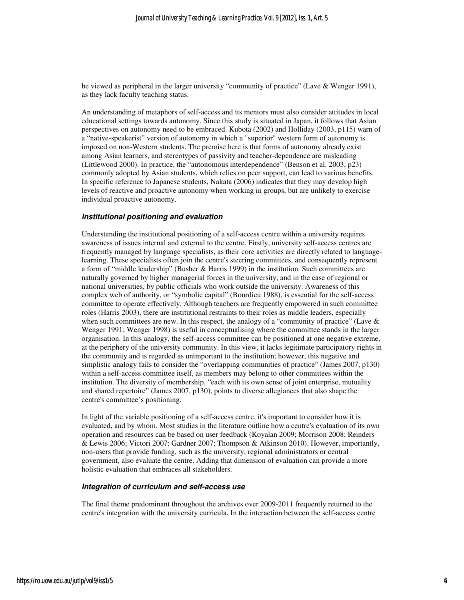be viewed as peripheral in the larger university "community of practice" (Lave & Wenger 1991), as they lack faculty teaching status.

An understanding of metaphors of self-access and its mentors must also consider attitudes in local educational settings towards autonomy. Since this study is situated in Japan, it follows that Asian perspectives on autonomy need to be embraced. Kubota (2002) and Holliday (2003, p115) warn of a "native-speakerist" version of autonomy in which a "superior" western form of autonomy is imposed on non-Western students. The premise here is that forms of autonomy already exist among Asian learners, and stereotypes of passivity and teacher-dependence are misleading (Littlewood 2000). In practice, the "autonomous interdependence" (Benson et al. 2003, p23) commonly adopted by Asian students, which relies on peer support, can lead to various benefits. In specific reference to Japanese students, Nakata (2006) indicates that they may develop high levels of reactive and proactive autonomy when working in groups, but are unlikely to exercise individual proactive autonomy.

#### **Institutional positioning and evaluation**

Understanding the institutional positioning of a self-access centre within a university requires awareness of issues internal and external to the centre. Firstly, university self-access centres are frequently managed by language specialists, as their core activities are directly related to languagelearning. These specialists often join the centre's steering committees, and consequently represent a form of "middle leadership" (Busher & Harris 1999) in the institution. Such committees are naturally governed by higher managerial forces in the university, and in the case of regional or national universities, by public officials who work outside the university. Awareness of this complex web of authority, or "symbolic capital" (Bourdieu 1988), is essential for the self-access committee to operate effectively. Although teachers are frequently empowered in such committee roles (Harris 2003), there are institutional restraints to their roles as middle leaders, especially when such committees are new. In this respect, the analogy of a "community of practice" (Lave  $\&$ Wenger 1991; Wenger 1998) is useful in conceptualising where the committee stands in the larger organisation. In this analogy, the self-access committee can be positioned at one negative extreme, at the periphery of the university community. In this view, it lacks legitimate participatory rights in the community and is regarded as unimportant to the institution; however, this negative and simplistic analogy fails to consider the "overlapping communities of practice" (James 2007, p130) within a self-access committee itself, as members may belong to other committees within the institution. The diversity of membership, "each with its own sense of joint enterprise, mutuality and shared repertoire" (James 2007, p130), points to diverse allegiances that also shape the centre's committee's positioning.

In light of the variable positioning of a self-access centre, it's important to consider how it is evaluated, and by whom. Most studies in the literature outline how a centre's evaluation of its own operation and resources can be based on user feedback (Koyalan 2009; Morrison 2008; Reinders & Lewis 2006; Victori 2007; Gardner 2007; Thompson & Atkinson 2010). However, importantly, non-users that provide funding, such as the university, regional administrators or central government, also evaluate the centre. Adding that dimension of evaluation can provide a more holistic evaluation that embraces all stakeholders.

#### **Integration of curriculum and self-access use**

The final theme predominant throughout the archives over 2009-2011 frequently returned to the centre's integration with the university curricula. In the interaction between the self-access centre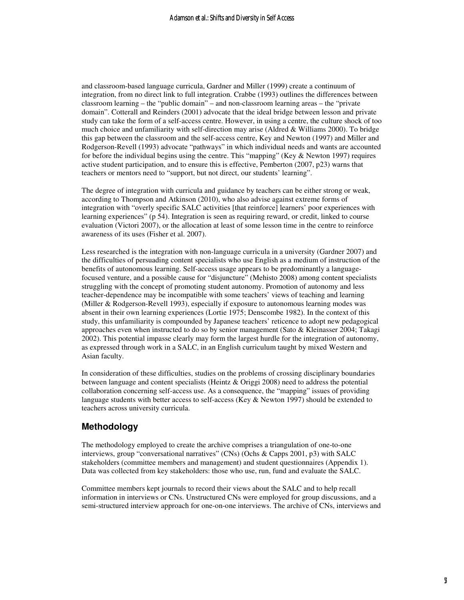and classroom-based language curricula, Gardner and Miller (1999) create a continuum of integration, from no direct link to full integration. Crabbe (1993) outlines the differences between classroom learning – the "public domain" – and non-classroom learning areas – the "private domain". Cotterall and Reinders (2001) advocate that the ideal bridge between lesson and private study can take the form of a self-access centre. However, in using a centre, the culture shock of too much choice and unfamiliarity with self-direction may arise (Aldred  $&$  Williams 2000). To bridge this gap between the classroom and the self-access centre, Key and Newton (1997) and Miller and Rodgerson-Revell (1993) advocate "pathways" in which individual needs and wants are accounted for before the individual begins using the centre. This "mapping" (Key  $&$  Newton 1997) requires active student participation, and to ensure this is effective, Pemberton (2007, p23) warns that teachers or mentors need to "support, but not direct, our students' learning".

The degree of integration with curricula and guidance by teachers can be either strong or weak, according to Thompson and Atkinson (2010), who also advise against extreme forms of integration with "overly specific SALC activities [that reinforce] learners' poor experiences with learning experiences" (p 54). Integration is seen as requiring reward, or credit, linked to course evaluation (Victori 2007), or the allocation at least of some lesson time in the centre to reinforce awareness of its uses (Fisher et al. 2007).

Less researched is the integration with non-language curricula in a university (Gardner 2007) and the difficulties of persuading content specialists who use English as a medium of instruction of the benefits of autonomous learning. Self-access usage appears to be predominantly a languagefocused venture, and a possible cause for "disjuncture" (Mehisto 2008) among content specialists struggling with the concept of promoting student autonomy. Promotion of autonomy and less teacher-dependence may be incompatible with some teachers' views of teaching and learning (Miller & Rodgerson-Revell 1993), especially if exposure to autonomous learning modes was absent in their own learning experiences (Lortie 1975; Denscombe 1982). In the context of this study, this unfamiliarity is compounded by Japanese teachers' reticence to adopt new pedagogical approaches even when instructed to do so by senior management (Sato & Kleinasser 2004; Takagi 2002). This potential impasse clearly may form the largest hurdle for the integration of autonomy, as expressed through work in a SALC, in an English curriculum taught by mixed Western and Asian faculty.

In consideration of these difficulties, studies on the problems of crossing disciplinary boundaries between language and content specialists (Heintz & Origgi 2008) need to address the potential collaboration concerning self-access use. As a consequence, the "mapping" issues of providing language students with better access to self-access (Key  $&$  Newton 1997) should be extended to teachers across university curricula.

## **Methodology**

The methodology employed to create the archive comprises a triangulation of one-to-one interviews, group "conversational narratives" (CNs) (Ochs & Capps 2001, p3) with SALC stakeholders (committee members and management) and student questionnaires (Appendix 1). Data was collected from key stakeholders: those who use, run, fund and evaluate the SALC.

Committee members kept journals to record their views about the SALC and to help recall information in interviews or CNs. Unstructured CNs were employed for group discussions, and a semi-structured interview approach for one-on-one interviews. The archive of CNs, interviews and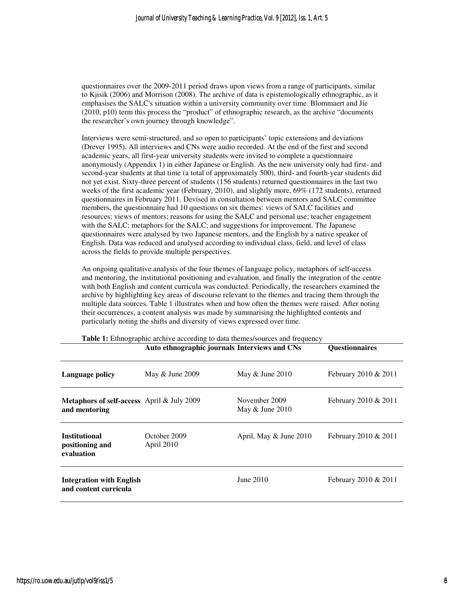questionnaires over the 2009-2011 period draws upon views from a range of participants, similar to Kjisik (2006) and Morrison (2008). The archive of data is epistemologically ethnographic, as it emphasises the SALC's situation within a university community over time. Blommaert and Jie (2010, p10) term this process the "product" of ethnographic research, as the archive "documents the researcher's own journey through knowledge".

Interviews were semi-structured, and so open to participants' topic extensions and deviations (Drever 1995). All interviews and CNs were audio recorded. At the end of the first and second academic years, all first-year university students were invited to complete a questionnaire anonymously (Appendix 1) in either Japanese or English. As the new university only had first- and second-year students at that time (a total of approximately 500), third- and fourth-year students did not yet exist. Sixty-three percent of students (156 students) returned questionnaires in the last two weeks of the first academic year (February, 2010), and slightly more, 69% (172 students), returned questionnaires in February 2011. Devised in consultation between mentors and SALC committee members, the questionnaire had 10 questions on six themes: views of SALC facilities and resources; views of mentors; reasons for using the SALC and personal use; teacher engagement with the SALC; metaphors for the SALC; and suggestions for improvement. The Japanese questionnaires were analysed by two Japanese mentors, and the English by a native speaker of English. Data was reduced and analysed according to individual class, field, and level of class across the fields to provide multiple perspectives.

An ongoing qualitative analysis of the four themes of language policy, metaphors of self-access and mentoring, the institutional positioning and evaluation, and finally the integration of the centre with both English and content curricula was conducted. Periodically, the researchers examined the archive by highlighting key areas of discourse relevant to the themes and tracing them through the multiple data sources. Table 1 illustrates when and how often the themes were raised. After noting their occurrences, a content analysis was made by summarising the highlighted contents and particularly noting the shifts and diversity of views expressed over time.

|                                                             | Auto ethnographic journals Interviews and CNs |                                    | <b>Ouestionnaires</b> |
|-------------------------------------------------------------|-----------------------------------------------|------------------------------------|-----------------------|
| Language policy                                             | May $&$ June 2009                             | May $&$ June 2010                  | February 2010 & 2011  |
| Metaphors of self-access April & July 2009<br>and mentoring |                                               | November 2009<br>May $&$ June 2010 | February 2010 & 2011  |
| <b>Institutional</b><br>positioning and<br>evaluation       | October 2009<br>April 2010                    | April, May $&$ June 2010           | February 2010 & 2011  |
| <b>Integration with English</b><br>and content curricula    |                                               | June $2010$                        | February 2010 & 2011  |

Table 1: Ethnographic archive according to data themes/sources and frequency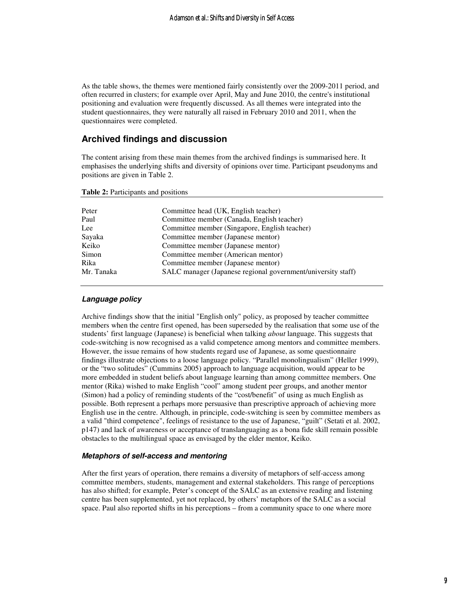As the table shows, the themes were mentioned fairly consistently over the 2009-2011 period, and often recurred in clusters; for example over April, May and June 2010, the centre's institutional positioning and evaluation were frequently discussed. As all themes were integrated into the student questionnaires, they were naturally all raised in February 2010 and 2011, when the questionnaires were completed.

## **Archived findings and discussion**

The content arising from these main themes from the archived findings is summarised here. It emphasises the underlying shifts and diversity of opinions over time. Participant pseudonyms and positions are given in Table 2.

| Peter      | Committee head (UK, English teacher)                         |
|------------|--------------------------------------------------------------|
| Paul       | Committee member (Canada, English teacher)                   |
| Lee        | Committee member (Singapore, English teacher)                |
| Sayaka     | Committee member (Japanese mentor)                           |
| Keiko      | Committee member (Japanese mentor)                           |
| Simon      | Committee member (American mentor)                           |
| Rika       | Committee member (Japanese mentor)                           |
| Mr. Tanaka | SALC manager (Japanese regional government/university staff) |
|            |                                                              |

#### **Table 2:** Participants and positions

#### **Language policy**

Archive findings show that the initial "English only" policy, as proposed by teacher committee members when the centre first opened, has been superseded by the realisation that some use of the students' first language (Japanese) is beneficial when talking *about* language. This suggests that code-switching is now recognised as a valid competence among mentors and committee members. However, the issue remains of how students regard use of Japanese, as some questionnaire findings illustrate objections to a loose language policy. "Parallel monolingualism" (Heller 1999), or the "two solitudes" (Cummins 2005) approach to language acquisition, would appear to be more embedded in student beliefs about language learning than among committee members. One mentor (Rika) wished to make English "cool" among student peer groups, and another mentor (Simon) had a policy of reminding students of the "cost/benefit" of using as much English as possible. Both represent a perhaps more persuasive than prescriptive approach of achieving more English use in the centre. Although, in principle, code-switching is seen by committee members as a valid "third competence", feelings of resistance to the use of Japanese, "guilt" (Setati et al. 2002, p147) and lack of awareness or acceptance of translanguaging as a bona fide skill remain possible obstacles to the multilingual space as envisaged by the elder mentor, Keiko.

#### **Metaphors of self-access and mentoring**

After the first years of operation, there remains a diversity of metaphors of self-access among committee members, students, management and external stakeholders. This range of perceptions has also shifted; for example, Peter's concept of the SALC as an extensive reading and listening centre has been supplemented, yet not replaced, by others' metaphors of the SALC as a social space. Paul also reported shifts in his perceptions – from a community space to one where more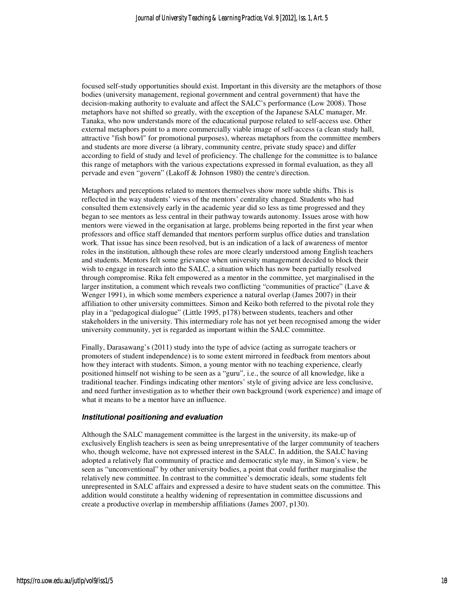focused self-study opportunities should exist. Important in this diversity are the metaphors of those bodies (university management, regional government and central government) that have the decision-making authority to evaluate and affect the SALC's performance (Low 2008). Those metaphors have not shifted so greatly, with the exception of the Japanese SALC manager, Mr. Tanaka, who now understands more of the educational purpose related to self-access use. Other external metaphors point to a more commercially viable image of self-access (a clean study hall, attractive "fish bowl" for promotional purposes), whereas metaphors from the committee members and students are more diverse (a library, community centre, private study space) and differ according to field of study and level of proficiency. The challenge for the committee is to balance this range of metaphors with the various expectations expressed in formal evaluation, as they all pervade and even "govern" (Lakoff & Johnson 1980) the centre's direction.

Metaphors and perceptions related to mentors themselves show more subtle shifts. This is reflected in the way students' views of the mentors' centrality changed. Students who had consulted them extensively early in the academic year did so less as time progressed and they began to see mentors as less central in their pathway towards autonomy. Issues arose with how mentors were viewed in the organisation at large, problems being reported in the first year when professors and office staff demanded that mentors perform surplus office duties and translation work. That issue has since been resolved, but is an indication of a lack of awareness of mentor roles in the institution, although these roles are more clearly understood among English teachers and students. Mentors felt some grievance when university management decided to block their wish to engage in research into the SALC, a situation which has now been partially resolved through compromise. Rika felt empowered as a mentor in the committee, yet marginalised in the larger institution, a comment which reveals two conflicting "communities of practice" (Lave & Wenger 1991), in which some members experience a natural overlap (James 2007) in their affiliation to other university committees. Simon and Keiko both referred to the pivotal role they play in a "pedagogical dialogue" (Little 1995, p178) between students, teachers and other stakeholders in the university. This intermediary role has not yet been recognised among the wider university community, yet is regarded as important within the SALC committee.

Finally, Darasawang's (2011) study into the type of advice (acting as surrogate teachers or promoters of student independence) is to some extent mirrored in feedback from mentors about how they interact with students. Simon, a young mentor with no teaching experience, clearly positioned himself not wishing to be seen as a "guru", i.e., the source of all knowledge, like a traditional teacher. Findings indicating other mentors' style of giving advice are less conclusive, and need further investigation as to whether their own background (work experience) and image of what it means to be a mentor have an influence.

#### **Institutional positioning and evaluation**

Although the SALC management committee is the largest in the university, its make-up of exclusively English teachers is seen as being unrepresentative of the larger community of teachers who, though welcome, have not expressed interest in the SALC. In addition, the SALC having adopted a relatively flat community of practice and democratic style may, in Simon's view, be seen as "unconventional" by other university bodies, a point that could further marginalise the relatively new committee. In contrast to the committee's democratic ideals, some students felt unrepresented in SALC affairs and expressed a desire to have student seats on the committee. This addition would constitute a healthy widening of representation in committee discussions and create a productive overlap in membership affiliations (James 2007, p130).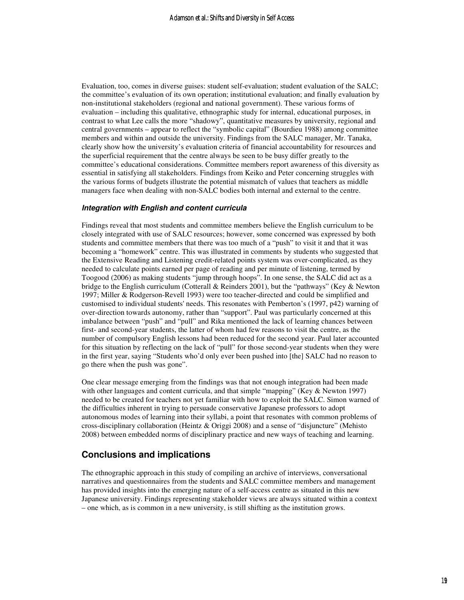Evaluation, too, comes in diverse guises: student self-evaluation; student evaluation of the SALC; the committee's evaluation of its own operation; institutional evaluation; and finally evaluation by non-institutional stakeholders (regional and national government). These various forms of evaluation – including this qualitative, ethnographic study for internal, educational purposes, in contrast to what Lee calls the more "shadowy", quantitative measures by university, regional and central governments – appear to reflect the "symbolic capital" (Bourdieu 1988) among committee members and within and outside the university. Findings from the SALC manager, Mr. Tanaka, clearly show how the university's evaluation criteria of financial accountability for resources and the superficial requirement that the centre always be seen to be busy differ greatly to the committee's educational considerations. Committee members report awareness of this diversity as essential in satisfying all stakeholders. Findings from Keiko and Peter concerning struggles with the various forms of budgets illustrate the potential mismatch of values that teachers as middle managers face when dealing with non-SALC bodies both internal and external to the centre.

#### **Integration with English and content curricula**

Findings reveal that most students and committee members believe the English curriculum to be closely integrated with use of SALC resources; however, some concerned was expressed by both students and committee members that there was too much of a "push" to visit it and that it was becoming a "homework" centre. This was illustrated in comments by students who suggested that the Extensive Reading and Listening credit-related points system was over-complicated, as they needed to calculate points earned per page of reading and per minute of listening, termed by Toogood (2006) as making students "jump through hoops". In one sense, the SALC did act as a bridge to the English curriculum (Cotterall & Reinders 2001), but the "pathways" (Key & Newton 1997; Miller & Rodgerson-Revell 1993) were too teacher-directed and could be simplified and customised to individual students' needs. This resonates with Pemberton's (1997, p42) warning of over-direction towards autonomy, rather than "support". Paul was particularly concerned at this imbalance between "push" and "pull" and Rika mentioned the lack of learning chances between first- and second-year students, the latter of whom had few reasons to visit the centre, as the number of compulsory English lessons had been reduced for the second year. Paul later accounted for this situation by reflecting on the lack of "pull" for those second-year students when they were in the first year, saying "Students who'd only ever been pushed into [the] SALC had no reason to go there when the push was gone".

One clear message emerging from the findings was that not enough integration had been made with other languages and content curricula, and that simple "mapping" (Key & Newton 1997) needed to be created for teachers not yet familiar with how to exploit the SALC. Simon warned of the difficulties inherent in trying to persuade conservative Japanese professors to adopt autonomous modes of learning into their syllabi, a point that resonates with common problems of cross-disciplinary collaboration (Heintz & Origgi 2008) and a sense of "disjuncture" (Mehisto 2008) between embedded norms of disciplinary practice and new ways of teaching and learning.

## **Conclusions and implications**

The ethnographic approach in this study of compiling an archive of interviews, conversational narratives and questionnaires from the students and SALC committee members and management has provided insights into the emerging nature of a self-access centre as situated in this new Japanese university. Findings representing stakeholder views are always situated within a context – one which, as is common in a new university, is still shifting as the institution grows.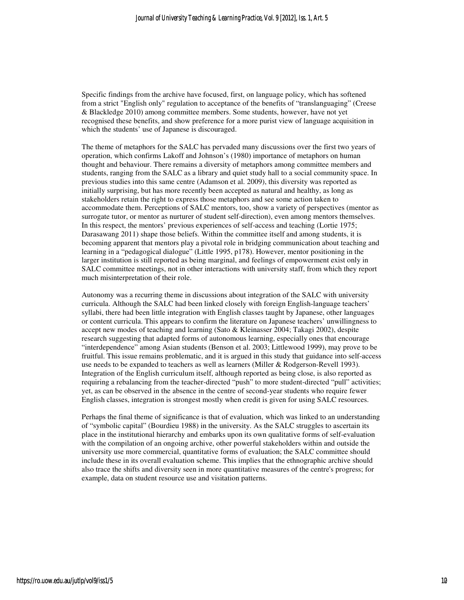Specific findings from the archive have focused, first, on language policy, which has softened from a strict "English only" regulation to acceptance of the benefits of "translanguaging" (Creese & Blackledge 2010) among committee members. Some students, however, have not yet recognised these benefits, and show preference for a more purist view of language acquisition in which the students' use of Japanese is discouraged.

The theme of metaphors for the SALC has pervaded many discussions over the first two years of operation, which confirms Lakoff and Johnson's (1980) importance of metaphors on human thought and behaviour. There remains a diversity of metaphors among committee members and students, ranging from the SALC as a library and quiet study hall to a social community space. In previous studies into this same centre (Adamson et al. 2009), this diversity was reported as initially surprising, but has more recently been accepted as natural and healthy, as long as stakeholders retain the right to express those metaphors and see some action taken to accommodate them. Perceptions of SALC mentors, too, show a variety of perspectives (mentor as surrogate tutor, or mentor as nurturer of student self-direction), even among mentors themselves. In this respect, the mentors' previous experiences of self-access and teaching (Lortie 1975; Darasawang 2011) shape those beliefs. Within the committee itself and among students, it is becoming apparent that mentors play a pivotal role in bridging communication about teaching and learning in a "pedagogical dialogue" (Little 1995, p178). However, mentor positioning in the larger institution is still reported as being marginal, and feelings of empowerment exist only in SALC committee meetings, not in other interactions with university staff, from which they report much misinterpretation of their role.

Autonomy was a recurring theme in discussions about integration of the SALC with university curricula. Although the SALC had been linked closely with foreign English-language teachers' syllabi, there had been little integration with English classes taught by Japanese, other languages or content curricula. This appears to confirm the literature on Japanese teachers' unwillingness to accept new modes of teaching and learning (Sato & Kleinasser 2004; Takagi 2002), despite research suggesting that adapted forms of autonomous learning, especially ones that encourage "interdependence" among Asian students (Benson et al. 2003; Littlewood 1999), may prove to be fruitful. This issue remains problematic, and it is argued in this study that guidance into self-access use needs to be expanded to teachers as well as learners (Miller & Rodgerson-Revell 1993). Integration of the English curriculum itself, although reported as being close, is also reported as requiring a rebalancing from the teacher-directed "push" to more student-directed "pull" activities; yet, as can be observed in the absence in the centre of second-year students who require fewer English classes, integration is strongest mostly when credit is given for using SALC resources.

Perhaps the final theme of significance is that of evaluation, which was linked to an understanding of "symbolic capital" (Bourdieu 1988) in the university. As the SALC struggles to ascertain its place in the institutional hierarchy and embarks upon its own qualitative forms of self-evaluation with the compilation of an ongoing archive, other powerful stakeholders within and outside the university use more commercial, quantitative forms of evaluation; the SALC committee should include these in its overall evaluation scheme. This implies that the ethnographic archive should also trace the shifts and diversity seen in more quantitative measures of the centre's progress; for example, data on student resource use and visitation patterns.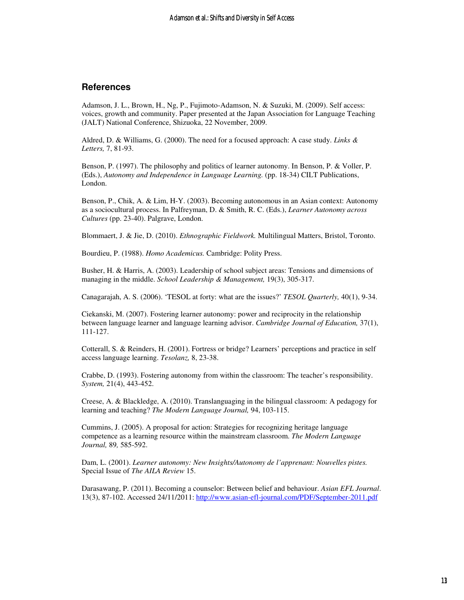## **References**

Adamson, J. L., Brown, H., Ng, P., Fujimoto-Adamson, N. & Suzuki, M. (2009). Self access: voices, growth and community. Paper presented at the Japan Association for Language Teaching (JALT) National Conference, Shizuoka, 22 November, 2009.

Aldred, D. & Williams, G. (2000). The need for a focused approach: A case study. *Links & Letters,* 7, 81-93.

Benson, P. (1997). The philosophy and politics of learner autonomy. In Benson, P. & Voller, P. (Eds.), *Autonomy and Independence in Language Learning.* (pp. 18-34) CILT Publications, London.

Benson, P., Chik, A. & Lim, H-Y. (2003). Becoming autonomous in an Asian context: Autonomy as a sociocultural process. In Palfreyman, D. & Smith, R. C. (Eds.), *Learner Autonomy across Cultures* (pp. 23-40). Palgrave, London.

Blommaert, J. & Jie, D. (2010). *Ethnographic Fieldwork.* Multilingual Matters, Bristol, Toronto.

Bourdieu, P. (1988). *Homo Academicus.* Cambridge: Polity Press.

Busher, H. & Harris, A. (2003). Leadership of school subject areas: Tensions and dimensions of managing in the middle. *School Leadership & Management,* 19(3), 305-317.

Canagarajah, A. S. (2006). 'TESOL at forty: what are the issues?' *TESOL Quarterly,* 40(1), 9-34.

Ciekanski, M. (2007). Fostering learner autonomy: power and reciprocity in the relationship between language learner and language learning advisor. *Cambridge Journal of Education,* 37(1), 111-127.

Cotterall, S. & Reinders, H. (2001). Fortress or bridge? Learners' perceptions and practice in self access language learning. *Tesolanz,* 8, 23-38.

Crabbe, D. (1993). Fostering autonomy from within the classroom: The teacher's responsibility. *System,* 21(4), 443-452.

Creese, A. & Blackledge, A. (2010). Translanguaging in the bilingual classroom: A pedagogy for learning and teaching? *The Modern Language Journal,* 94, 103-115.

Cummins, J. (2005). A proposal for action: Strategies for recognizing heritage language competence as a learning resource within the mainstream classroom. *The Modern Language Journal,* 89*,* 585-592.

Dam, L. (2001). *Learner autonomy: New Insights/Autonomy de l'apprenant: Nouvelles pistes.*  Special Issue of *The AILA Review* 15.

Darasawang, P. (2011). Becoming a counselor: Between belief and behaviour. *Asian EFL Journal*. 13(3), 87-102. Accessed 24/11/2011: http://www.asian-efl-journal.com/PDF/September-2011.pdf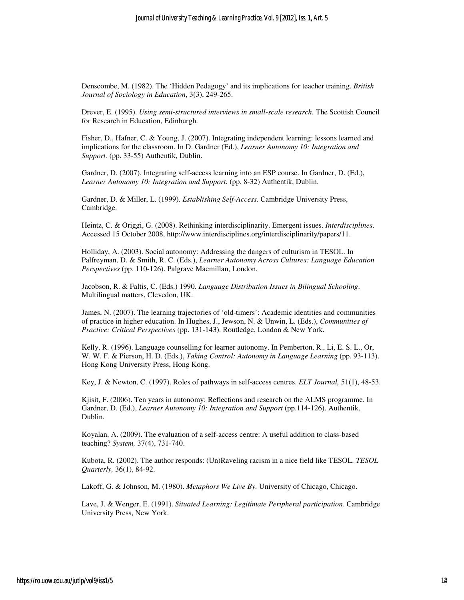Denscombe, M. (1982). The 'Hidden Pedagogy' and its implications for teacher training. *British Journal of Sociology in Education*, 3(3), 249-265.

Drever, E. (1995). *Using semi-structured interviews in small-scale research.* The Scottish Council for Research in Education, Edinburgh.

Fisher, D., Hafner, C. & Young, J. (2007). Integrating independent learning: lessons learned and implications for the classroom. In D. Gardner (Ed.), *Learner Autonomy 10: Integration and Support.* (pp. 33-55) Authentik, Dublin.

Gardner, D. (2007). Integrating self-access learning into an ESP course. In Gardner, D. (Ed.), *Learner Autonomy 10: Integration and Support.* (pp. 8-32) Authentik, Dublin.

Gardner, D. & Miller, L. (1999). *Establishing Self-Access.* Cambridge University Press, Cambridge.

Heintz, C. & Origgi, G. (2008). Rethinking interdisciplinarity. Emergent issues. *Interdisciplines*. Accessed 15 October 2008, http://www.interdisciplines.org/interdisciplinarity/papers/11.

Holliday, A. (2003). Social autonomy: Addressing the dangers of culturism in TESOL. In Palfreyman, D. & Smith, R. C. (Eds.), *Learner Autonomy Across Cultures: Language Education Perspectives* (pp. 110-126). Palgrave Macmillan, London.

Jacobson, R. & Faltis, C. (Eds.) 1990. *Language Distribution Issues in Bilingual Schooling*. Multilingual matters, Clevedon, UK.

James, N. (2007). The learning trajectories of 'old-timers': Academic identities and communities of practice in higher education. In Hughes, J., Jewson, N. & Unwin, L. (Eds.), *Communities of Practice: Critical Perspectives* (pp. 131-143). Routledge, London & New York.

Kelly, R. (1996). Language counselling for learner autonomy. In Pemberton, R., Li, E. S. L., Or, W. W. F. & Pierson, H. D. (Eds.), *Taking Control: Autonomy in Language Learning* (pp. 93-113). Hong Kong University Press, Hong Kong.

Key, J. & Newton, C. (1997). Roles of pathways in self-access centres. *ELT Journal,* 51(1), 48-53.

Kjisit, F. (2006). Ten years in autonomy: Reflections and research on the ALMS programme. In Gardner, D. (Ed.), *Learner Autonomy 10: Integration and Support* (pp.114-126). Authentik, Dublin.

Koyalan, A. (2009). The evaluation of a self-access centre: A useful addition to class-based teaching? *System,* 37(4), 731-740.

Kubota, R. (2002). The author responds: (Un)Raveling racism in a nice field like TESOL. *TESOL Quarterly,* 36(1), 84-92.

Lakoff, G. & Johnson, M. (1980). *Metaphors We Live By.* University of Chicago, Chicago.

Lave, J. & Wenger, E. (1991). *Situated Learning: Legitimate Peripheral participation*. Cambridge University Press, New York.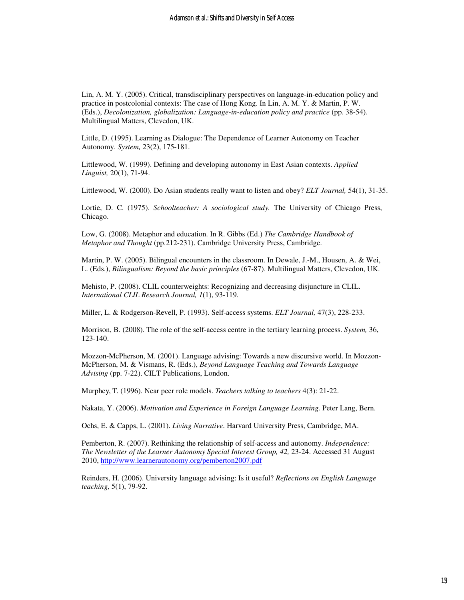Lin, A. M. Y. (2005). Critical, transdisciplinary perspectives on language-in-education policy and practice in postcolonial contexts: The case of Hong Kong. In Lin, A. M. Y. & Martin, P. W. (Eds.), *Decolonization, globalization: Language-in-education policy and practice* (pp. 38-54). Multilingual Matters, Clevedon, UK.

Little, D. (1995). Learning as Dialogue: The Dependence of Learner Autonomy on Teacher Autonomy. *System,* 23(2), 175-181.

Littlewood, W. (1999). Defining and developing autonomy in East Asian contexts. *Applied Linguist,* 20(1), 71-94.

Littlewood, W. (2000). Do Asian students really want to listen and obey? *ELT Journal,* 54(1), 31-35.

Lortie, D. C. (1975). *Schoolteacher: A sociological study.* The University of Chicago Press, Chicago.

Low, G. (2008). Metaphor and education. In R. Gibbs (Ed.) *The Cambridge Handbook of Metaphor and Thought* (pp.212-231). Cambridge University Press, Cambridge.

Martin, P. W. (2005). Bilingual encounters in the classroom. In Dewale, J.-M., Housen, A. & Wei, L. (Eds.), *Bilingualism: Beyond the basic principles* (67-87). Multilingual Matters, Clevedon, UK.

Mehisto, P. (2008). CLIL counterweights: Recognizing and decreasing disjuncture in CLIL. *International CLIL Research Journal, 1*(1), 93-119.

Miller, L. & Rodgerson-Revell, P. (1993). Self-access systems. *ELT Journal,* 47(3), 228-233.

Morrison, B. (2008). The role of the self-access centre in the tertiary learning process. *System,* 36, 123-140.

Mozzon-McPherson, M. (2001). Language advising: Towards a new discursive world. In Mozzon-McPherson, M. & Vismans, R. (Eds.), *Beyond Language Teaching and Towards Language Advising* (pp. 7-22). CILT Publications, London.

Murphey, T. (1996). Near peer role models. *Teachers talking to teachers* 4(3): 21-22.

Nakata, Y. (2006). *Motivation and Experience in Foreign Language Learning.* Peter Lang, Bern.

Ochs, E. & Capps, L. (2001). *Living Narrative*. Harvard University Press, Cambridge, MA.

Pemberton, R. (2007). Rethinking the relationship of self-access and autonomy. *Independence: The Newsletter of the Learner Autonomy Special Interest Group, 42, 23-24. Accessed 31 August* 2010, http://www.learnerautonomy.org/pemberton2007.pdf

Reinders, H. (2006). University language advising: Is it useful? *Reflections on English Language teaching,* 5(1), 79-92.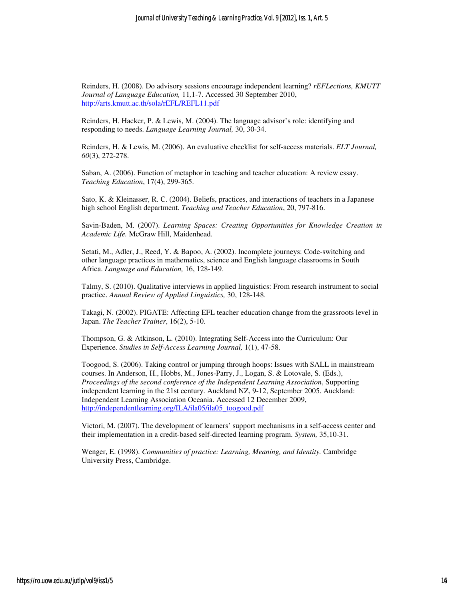Reinders, H. (2008). Do advisory sessions encourage independent learning? *rEFLections, KMUTT Journal of Language Education,* 11*,*1-7. Accessed 30 September 2010, http://arts.kmutt.ac.th/sola/rEFL/REFL11.pdf

Reinders, H. Hacker, P. & Lewis, M. (2004). The language advisor's role: identifying and responding to needs. *Language Learning Journal,* 30, 30-34.

Reinders, H. & Lewis, M. (2006). An evaluative checklist for self-access materials. *ELT Journal, 60*(3), 272-278.

Saban, A. (2006). Function of metaphor in teaching and teacher education: A review essay. *Teaching Education*, 17(4), 299-365.

Sato, K. & Kleinasser, R. C. (2004). Beliefs, practices, and interactions of teachers in a Japanese high school English department. *Teaching and Teacher Education*, 20, 797-816.

Savin-Baden, M. (2007). *Learning Spaces: Creating Opportunities for Knowledge Creation in Academic Life.* McGraw Hill, Maidenhead.

Setati, M., Adler, J., Reed, Y. & Bapoo, A. (2002). Incomplete journeys: Code-switching and other language practices in mathematics, science and English language classrooms in South Africa. *Language and Education,* 16, 128-149.

Talmy, S. (2010). Qualitative interviews in applied linguistics: From research instrument to social practice. *Annual Review of Applied Linguistics,* 30, 128-148.

Takagi, N. (2002). PIGATE: Affecting EFL teacher education change from the grassroots level in Japan. *The Teacher Trainer*, 16(2), 5-10.

Thompson, G. & Atkinson, L. (2010). Integrating Self-Access into the Curriculum: Our Experience. *Studies in Self-Access Learning Journal,* 1(1), 47-58.

Toogood, S. (2006). Taking control or jumping through hoops: Issues with SALL in mainstream courses. In Anderson, H., Hobbs, M., Jones-Parry, J., Logan, S. & Lotovale, S. (Eds.), *Proceedings of the second conference of the Independent Learning Association*, Supporting independent learning in the 21st century. Auckland NZ, 9-12, September 2005. Auckland: Independent Learning Association Oceania. Accessed 12 December 2009, http://independentlearning.org/ILA/ila05/ila05\_toogood.pdf

Victori, M. (2007). The development of learners' support mechanisms in a self-access center and their implementation in a credit-based self-directed learning program. *System,* 35,10-31.

Wenger, E. (1998). *Communities of practice: Learning, Meaning, and Identity.* Cambridge University Press, Cambridge.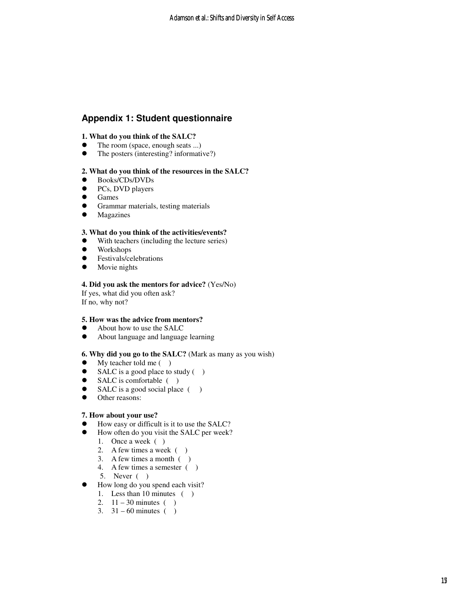## **Appendix 1: Student questionnaire**

#### **1. What do you think of the SALC?**

- The room (space, enough seats ...)<br>• The posters (interesting? informati
- The posters (interesting? informative?)

#### **2. What do you think of the resources in the SALC?**

- Books/CDs/DVDs
- PCs, DVD players
- **•** Games
- Grammar materials, testing materials
- **•** Magazines

#### **3. What do you think of the activities/events?**

- With teachers (including the lecture series)
- Workshops<br>• Festivals/ce
- Festivals/celebrations
- Movie nights

#### **4. Did you ask the mentors for advice?** (Yes/No)

If yes, what did you often ask? If no, why not?

#### **5. How was the advice from mentors?**

- About how to use the SALC<br>• About language and language
- About language and language learning

#### **6. Why did you go to the SALC?** (Mark as many as you wish)

- $\bullet$  My teacher told me  $( )$
- $\bullet$  SALC is a good place to study  $( )$
- SALC is comfortable  $( )$ <br>• SALC is a good social place
- $SALC$  is a good social place  $( )$
- Other reasons:

#### **7. How about your use?**

- How easy or difficult is it to use the SALC?
- How often do you visit the SALC per week?
	- 1. Once a week ( )
	- 2. A few times a week ( )
	- 3. A few times a month ( )
	- 4. A few times a semester  $( )$
	- 5. Never ( )
- How long do you spend each visit?
	- 1. Less than 10 minutes ( )
	- 2.  $11 30$  minutes ()
	- 3.  $31 60$  minutes ()